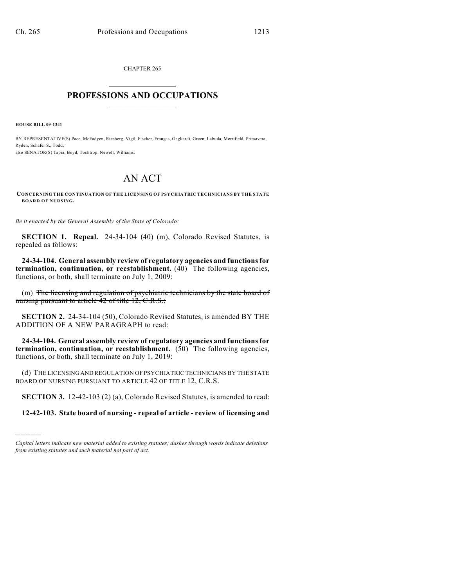CHAPTER 265  $\mathcal{L}_\text{max}$  . The set of the set of the set of the set of the set of the set of the set of the set of the set of the set of the set of the set of the set of the set of the set of the set of the set of the set of the set

## **PROFESSIONS AND OCCUPATIONS**  $\frac{1}{2}$  ,  $\frac{1}{2}$  ,  $\frac{1}{2}$  ,  $\frac{1}{2}$  ,  $\frac{1}{2}$  ,  $\frac{1}{2}$

**HOUSE BILL 09-1341**

)))))

BY REPRESENTATIVE(S) Pace, McFadyen, Riesberg, Vigil, Fischer, Frangas, Gagliardi, Green, Labuda, Merrifield, Primavera, Ryden, Schafer S., Todd; also SENATOR(S) Tapia, Boyd, Tochtrop, Newell, Williams.

## AN ACT

**CONCERNING THE CONTINUATION OF THE LICENSING OF PSYCHIATRIC TECHNICIANS BY THE STATE BOARD OF NURSING.**

*Be it enacted by the General Assembly of the State of Colorado:*

**SECTION 1. Repeal.** 24-34-104 (40) (m), Colorado Revised Statutes, is repealed as follows:

**24-34-104. General assembly review of regulatory agencies and functions for termination, continuation, or reestablishment.** (40) The following agencies, functions, or both, shall terminate on July 1, 2009:

(m) The licensing and regulation of psychiatric technicians by the state board of nursing pursuant to article 42 of title 12, C.R.S.;

**SECTION 2.** 24-34-104 (50), Colorado Revised Statutes, is amended BY THE ADDITION OF A NEW PARAGRAPH to read:

**24-34-104. General assembly review of regulatory agencies and functions for termination, continuation, or reestablishment.** (50) The following agencies, functions, or both, shall terminate on July 1, 2019:

(d) THE LICENSING AND REGULATION OF PSYCHIATRIC TECHNICIANS BY THE STATE BOARD OF NURSING PURSUANT TO ARTICLE 42 OF TITLE 12, C.R.S.

**SECTION 3.** 12-42-103 (2) (a), Colorado Revised Statutes, is amended to read:

**12-42-103. State board of nursing - repeal of article - review of licensing and**

*Capital letters indicate new material added to existing statutes; dashes through words indicate deletions from existing statutes and such material not part of act.*